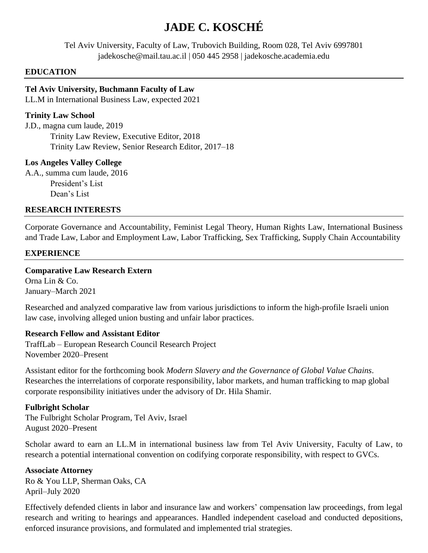# **JADE C. KOSCHÉ**

Tel Aviv University, Faculty of Law, Trubovich Building, Room 028, Tel Aviv 6997801 jadekosche@mail.tau.ac.il | 050 445 2958 | jadekosche.academia.edu

#### **EDUCATION**

## **Tel Aviv University, Buchmann Faculty of Law**

LL.M in International Business Law, expected 2021

## **Trinity Law School**

J.D., magna cum laude, 2019 Trinity Law Review, Executive Editor, 2018 Trinity Law Review, Senior Research Editor, 2017–18

## **Los Angeles Valley College**

A.A., summa cum laude, 2016 President's List Dean's List

#### **RESEARCH INTERESTS**

Corporate Governance and Accountability, Feminist Legal Theory, Human Rights Law, International Business and Trade Law, Labor and Employment Law, Labor Trafficking, Sex Trafficking, Supply Chain Accountability

## **EXPERIENCE**

## **Comparative Law Research Extern**

Orna Lin & Co. January–March 2021

Researched and analyzed comparative law from various jurisdictions to inform the high-profile Israeli union law case, involving alleged union busting and unfair labor practices.

#### **Research Fellow and Assistant Editor**

TraffLab – European Research Council Research Project November 2020–Present

Assistant editor for the forthcoming book *Modern Slavery and the Governance of Global Value Chains*. Researches the interrelations of corporate responsibility, labor markets, and human trafficking to map global corporate responsibility initiatives under the advisory of Dr. Hila Shamir.

## **Fulbright Scholar**

The Fulbright Scholar Program, Tel Aviv, Israel August 2020–Present

Scholar award to earn an LL.M in international business law from Tel Aviv University, Faculty of Law, to research a potential international convention on codifying corporate responsibility, with respect to GVCs.

#### **Associate Attorney**

Ro & You LLP, Sherman Oaks, CA April–July 2020

Effectively defended clients in labor and insurance law and workers' compensation law proceedings, from legal research and writing to hearings and appearances. Handled independent caseload and conducted depositions, enforced insurance provisions, and formulated and implemented trial strategies.